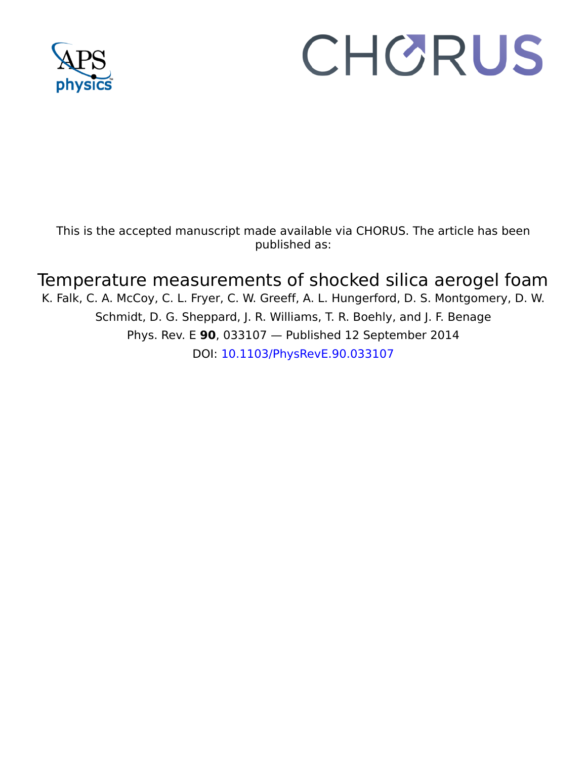

# CHORUS

This is the accepted manuscript made available via CHORUS. The article has been published as:

# Temperature measurements of shocked silica aerogel foam

K. Falk, C. A. McCoy, C. L. Fryer, C. W. Greeff, A. L. Hungerford, D. S. Montgomery, D. W. Schmidt, D. G. Sheppard, J. R. Williams, T. R. Boehly, and J. F. Benage Phys. Rev. E **90**, 033107 — Published 12 September 2014 DOI: [10.1103/PhysRevE.90.033107](http://dx.doi.org/10.1103/PhysRevE.90.033107)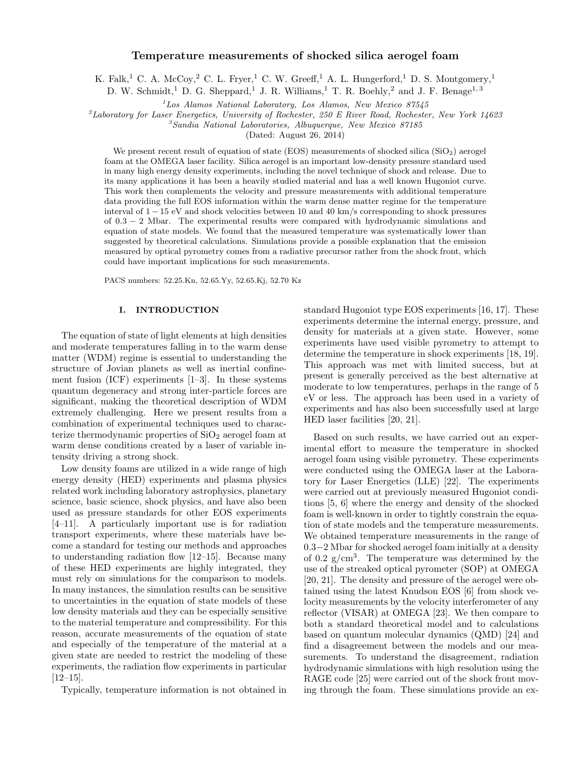# Temperature measurements of shocked silica aerogel foam

K. Falk,<sup>1</sup> C. A. McCoy,<sup>2</sup> C. L. Fryer,<sup>1</sup> C. W. Greeff,<sup>1</sup> A. L. Hungerford,<sup>1</sup> D. S. Montgomery,<sup>1</sup>

D. W. Schmidt,<sup>1</sup> D. G. Sheppard,<sup>1</sup> J. R. Williams,<sup>1</sup> T. R. Boehly,<sup>2</sup> and J. F. Benage<sup>1,3</sup>

 $1$ Los Alamos National Laboratory, Los Alamos, New Mexico 87545

 ${}^{2}$ Laboratory for Laser Energetics, University of Rochester, 250 E River Road, Rochester, New York 14623

 ${}^{3}S$ andia National Laboratories, Albuquerque, New Mexico 87185

(Dated: August 26, 2014)

We present recent result of equation of state (EOS) measurements of shocked silica ( $SiO<sub>2</sub>$ ) aerogel foam at the OMEGA laser facility. Silica aerogel is an important low-density pressure standard used in many high energy density experiments, including the novel technique of shock and release. Due to its many applications it has been a heavily studied material and has a well known Hugoniot curve. This work then complements the velocity and pressure measurements with additional temperature data providing the full EOS information within the warm dense matter regime for the temperature interval of 1 − 15 eV and shock velocities between 10 and 40 km/s corresponding to shock pressures of 0.3 − 2 Mbar. The experimental results were compared with hydrodynamic simulations and equation of state models. We found that the measured temperature was systematically lower than suggested by theoretical calculations. Simulations provide a possible explanation that the emission measured by optical pyrometry comes from a radiative precursor rather from the shock front, which could have important implications for such measurements.

PACS numbers: 52.25.Kn, 52.65.Yy, 52.65.Kj, 52.70 Kz

# I. INTRODUCTION

The equation of state of light elements at high densities and moderate temperatures falling in to the warm dense matter (WDM) regime is essential to understanding the structure of Jovian planets as well as inertial confinement fusion  $(ICF)$  experiments  $[1-3]$ . In these systems quantum degeneracy and strong inter-particle forces are significant, making the theoretical description of WDM extremely challenging. Here we present results from a combination of experimental techniques used to characterize thermodynamic properties of  $SiO<sub>2</sub>$  aerogel foam at warm dense conditions created by a laser of variable intensity driving a strong shock.

Low density foams are utilized in a wide range of high energy density (HED) experiments and plasma physics related work including laboratory astrophysics, planetary science, basic science, shock physics, and have also been used as pressure standards for other EOS experiments [4–11]. A particularly important use is for radiation transport experiments, where these materials have become a standard for testing our methods and approaches to understanding radiation flow [12–15]. Because many of these HED experiments are highly integrated, they must rely on simulations for the comparison to models. In many instances, the simulation results can be sensitive to uncertainties in the equation of state models of these low density materials and they can be especially sensitive to the material temperature and compressibility. For this reason, accurate measurements of the equation of state and especially of the temperature of the material at a given state are needed to restrict the modeling of these experiments, the radiation flow experiments in particular [12–15].

Typically, temperature information is not obtained in

standard Hugoniot type EOS experiments [16, 17]. These experiments determine the internal energy, pressure, and density for materials at a given state. However, some experiments have used visible pyrometry to attempt to determine the temperature in shock experiments [18, 19]. This approach was met with limited success, but at present is generally perceived as the best alternative at moderate to low temperatures, perhaps in the range of 5 eV or less. The approach has been used in a variety of experiments and has also been successfully used at large HED laser facilities [20, 21].

Based on such results, we have carried out an experimental effort to measure the temperature in shocked aerogel foam using visible pyrometry. These experiments were conducted using the OMEGA laser at the Laboratory for Laser Energetics (LLE) [22]. The experiments were carried out at previously measured Hugoniot conditions [5, 6] where the energy and density of the shocked foam is well-known in order to tightly constrain the equation of state models and the temperature measurements. We obtained temperature measurements in the range of 0.3−2 Mbar for shocked aerogel foam initially at a density of 0.2  $g/cm<sup>3</sup>$ . The temperature was determined by the use of the streaked optical pyrometer (SOP) at OMEGA [20, 21]. The density and pressure of the aerogel were obtained using the latest Knudson EOS [6] from shock velocity measurements by the velocity interferometer of any reflector (VISAR) at OMEGA [23]. We then compare to both a standard theoretical model and to calculations based on quantum molecular dynamics (QMD) [24] and find a disagreement between the models and our measurements. To understand the disagreement, radiation hydrodynamic simulations with high resolution using the RAGE code [25] were carried out of the shock front moving through the foam. These simulations provide an ex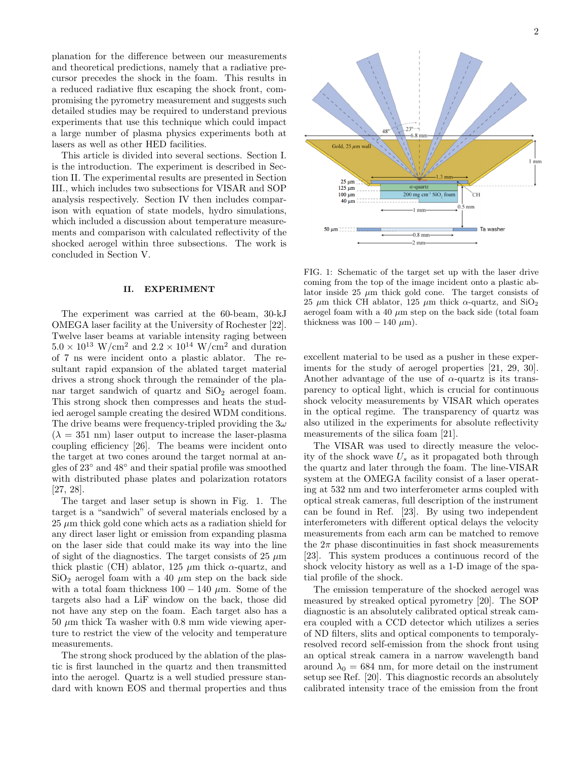planation for the difference between our measurements and theoretical predictions, namely that a radiative precursor precedes the shock in the foam. This results in a reduced radiative flux escaping the shock front, compromising the pyrometry measurement and suggests such detailed studies may be required to understand previous experiments that use this technique which could impact a large number of plasma physics experiments both at lasers as well as other HED facilities.

This article is divided into several sections. Section I. is the introduction. The experiment is described in Section II. The experimental results are presented in Section III., which includes two subsections for VISAR and SOP analysis respectively. Section IV then includes comparison with equation of state models, hydro simulations, which included a discussion about temperature measurements and comparison with calculated reflectivity of the shocked aerogel within three subsections. The work is concluded in Section V.

#### II. EXPERIMENT

The experiment was carried at the 60-beam, 30-kJ OMEGA laser facility at the University of Rochester [22]. Twelve laser beams at variable intensity raging between  $5.0 \times 10^{13}$  W/cm<sup>2</sup> and  $2.2 \times 10^{14}$  W/cm<sup>2</sup> and duration of 7 ns were incident onto a plastic ablator. The resultant rapid expansion of the ablated target material drives a strong shock through the remainder of the planar target sandwich of quartz and  $SiO<sub>2</sub>$  aerogel foam. This strong shock then compresses and heats the studied aerogel sample creating the desired WDM conditions. The drive beams were frequency-tripled providing the  $3\omega$  $(\lambda = 351 \text{ nm})$  laser output to increase the laser-plasma coupling efficiency [26]. The beams were incident onto the target at two cones around the target normal at angles of 23◦ and 48◦ and their spatial profile was smoothed with distributed phase plates and polarization rotators [27, 28].

The target and laser setup is shown in Fig. 1. The target is a "sandwich" of several materials enclosed by a  $25 \mu m$  thick gold cone which acts as a radiation shield for any direct laser light or emission from expanding plasma on the laser side that could make its way into the line of sight of the diagnostics. The target consists of 25  $\mu$ m thick plastic (CH) ablator, 125  $\mu$ m thick  $\alpha$ -quartz, and  $SiO<sub>2</sub>$  aerogel foam with a 40  $\mu$ m step on the back side with a total foam thickness  $100 - 140 \mu m$ . Some of the targets also had a LiF window on the back, those did not have any step on the foam. Each target also has a 50  $\mu$ m thick Ta washer with 0.8 mm wide viewing aperture to restrict the view of the velocity and temperature measurements.

The strong shock produced by the ablation of the plastic is first launched in the quartz and then transmitted into the aerogel. Quartz is a well studied pressure standard with known EOS and thermal properties and thus



FIG. 1: Schematic of the target set up with the laser drive coming from the top of the image incident onto a plastic ablator inside 25  $\mu$ m thick gold cone. The target consists of 25  $\mu$ m thick CH ablator, 125  $\mu$ m thick  $\alpha$ -quartz, and SiO<sub>2</sub> aerogel foam with a 40  $\mu$ m step on the back side (total foam thickness was  $100 - 140 \ \mu m$ ).

excellent material to be used as a pusher in these experiments for the study of aerogel properties [21, 29, 30]. Another advantage of the use of  $\alpha$ -quartz is its transparency to optical light, which is crucial for continuous shock velocity measurements by VISAR which operates in the optical regime. The transparency of quartz was also utilized in the experiments for absolute reflectivity measurements of the silica foam [21].

The VISAR was used to directly measure the velocity of the shock wave  $U_s$  as it propagated both through the quartz and later through the foam. The line-VISAR system at the OMEGA facility consist of a laser operating at 532 nm and two interferometer arms coupled with optical streak cameras, full description of the instrument can be found in Ref. [23]. By using two independent interferometers with different optical delays the velocity measurements from each arm can be matched to remove the  $2\pi$  phase discontinuities in fast shock measurements [23]. This system produces a continuous record of the shock velocity history as well as a 1-D image of the spatial profile of the shock.

The emission temperature of the shocked aerogel was measured by streaked optical pyrometry [20]. The SOP diagnostic is an absolutely calibrated optical streak camera coupled with a CCD detector which utilizes a series of ND filters, slits and optical components to temporalyresolved record self-emission from the shock front using an optical streak camera in a narrow wavelength band around  $\lambda_0 = 684$  nm, for more detail on the instrument setup see Ref. [20]. This diagnostic records an absolutely calibrated intensity trace of the emission from the front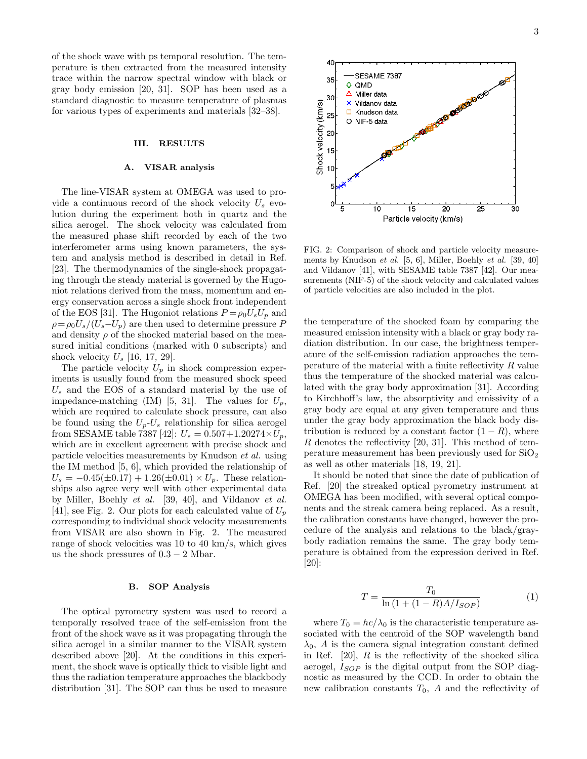of the shock wave with ps temporal resolution. The temperature is then extracted from the measured intensity trace within the narrow spectral window with black or gray body emission [20, 31]. SOP has been used as a standard diagnostic to measure temperature of plasmas for various types of experiments and materials [32–38].

# III. RESULTS

#### A. VISAR analysis

The line-VISAR system at OMEGA was used to provide a continuous record of the shock velocity  $U_s$  evolution during the experiment both in quartz and the silica aerogel. The shock velocity was calculated from the measured phase shift recorded by each of the two interferometer arms using known parameters, the system and analysis method is described in detail in Ref. [23]. The thermodynamics of the single-shock propagating through the steady material is governed by the Hugoniot relations derived from the mass, momentum and energy conservation across a single shock front independent of the EOS [31]. The Hugoniot relations  $P = \rho_0 U_s U_p$  and  $\rho = \rho_0 U_s/(U_s-U_p)$  are then used to determine pressure P and density  $\rho$  of the shocked material based on the measured initial conditions (marked with 0 subscripts) and shock velocity  $U_s$  [16, 17, 29].

The particle velocity  $U_p$  in shock compression experiments is usually found from the measured shock speed  $U_s$  and the EOS of a standard material by the use of impedance-matching (IM) [5, 31]. The values for  $U_p$ , which are required to calculate shock pressure, can also be found using the  $U_p-U_s$  relationship for silica aerogel from SESAME table 7387 [42]:  $U_s = 0.507 + 1.20274 \times U_p$ , which are in excellent agreement with precise shock and particle velocities measurements by Knudson et al. using the IM method [5, 6], which provided the relationship of  $U_s = -0.45(\pm 0.17) + 1.26(\pm 0.01) \times U_p$ . These relationships also agree very well with other experimental data by Miller, Boehly et al. [39, 40], and Vildanov et al. [41], see Fig. 2. Our plots for each calculated value of  $U_p$ corresponding to individual shock velocity measurements from VISAR are also shown in Fig. 2. The measured range of shock velocities was 10 to 40 km/s, which gives us the shock pressures of  $0.3 - 2$  Mbar.

#### B. SOP Analysis

The optical pyrometry system was used to record a temporally resolved trace of the self-emission from the front of the shock wave as it was propagating through the silica aerogel in a similar manner to the VISAR system described above [20]. At the conditions in this experiment, the shock wave is optically thick to visible light and thus the radiation temperature approaches the blackbody distribution [31]. The SOP can thus be used to measure



FIG. 2: Comparison of shock and particle velocity measurements by Knudson et al. [5, 6], Miller, Boehly et al. [39, 40] and Vildanov [41], with SESAME table 7387 [42]. Our measurements (NIF-5) of the shock velocity and calculated values of particle velocities are also included in the plot.

the temperature of the shocked foam by comparing the measured emission intensity with a black or gray body radiation distribution. In our case, the brightness temperature of the self-emission radiation approaches the temperature of the material with a finite reflectivity  $R$  value thus the temperature of the shocked material was calculated with the gray body approximation [31]. According to Kirchhoff's law, the absorptivity and emissivity of a gray body are equal at any given temperature and thus under the gray body approximation the black body distribution is reduced by a constant factor  $(1 - R)$ , where R denotes the reflectivity [20, 31]. This method of temperature measurement has been previously used for  $SiO<sub>2</sub>$ as well as other materials [18, 19, 21].

It should be noted that since the date of publication of Ref. [20] the streaked optical pyrometry instrument at OMEGA has been modified, with several optical components and the streak camera being replaced. As a result, the calibration constants have changed, however the procedure of the analysis and relations to the black/graybody radiation remains the same. The gray body temperature is obtained from the expression derived in Ref. [20]:

$$
T = \frac{T_0}{\ln\left(1 + (1 - R)A/I_{SOP}\right)}\tag{1}
$$

where  $T_0 = hc/\lambda_0$  is the characteristic temperature associated with the centroid of the SOP wavelength band  $\lambda_0$ , A is the camera signal integration constant defined in Ref.  $[20]$ , R is the reflectivity of the shocked silica aerogel,  $I_{SOP}$  is the digital output from the SOP diagnostic as measured by the CCD. In order to obtain the new calibration constants  $T_0$ , A and the reflectivity of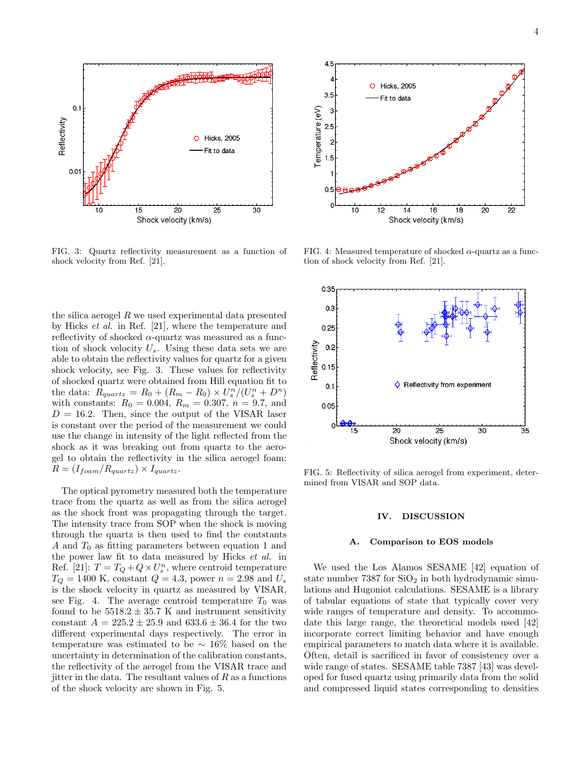

FIG. 3: Quartz reflectivity measurement as a function of shock velocity from Ref. [21].

the silica aerogel  $R$  we used experimental data presented by Hicks et al. in Ref. [21], where the temperature and reflectivity of shocked  $\alpha$ -quartz was measured as a function of shock velocity  $U_s$ . Using these data sets we are able to obtain the reflectivity values for quartz for a given shock velocity, see Fig. 3. These values for reflectivity of shocked quartz were obtained from Hill equation fit to the data:  $R_{quartz} = R_0 + (R_m - R_0) \times U_s^n / (U_s^n + D^n)$ with constants:  $R_0 = 0.004$ ,  $R_m = 0.307$ ,  $n = 9.7$ , and  $D = 16.2$ . Then, since the output of the VISAR laser is constant over the period of the measurement we could use the change in intensity of the light reflected from the shock as it was breaking out from quartz to the aerogel to obtain the reflectivity in the silica aerogel foam:  $R = (I_{foam}/R_{quartz}) \times I_{quartz}.$ 

The optical pyrometry measured both the temperature trace from the quartz as well as from the silica aerogel as the shock front was propagating through the target. The intensity trace from SOP when the shock is moving through the quartz is then used to find the contstants A and  $T_0$  as fitting parameters between equation 1 and the power law fit to data measured by Hicks et al. in Ref. [21]:  $T = T_Q + Q \times U_s^n$ , where centroid temperature  $T_Q = 1400$  K, constant  $Q = 4.3$ , power  $n = 2.98$  and  $U_s$ is the shock velocity in quartz as measured by VISAR, see Fig. 4. The average centroid temperature  $T_0$  was found to be  $5518.2 \pm 35.7$  K and instrument sensitivity constant  $A = 225.2 \pm 25.9$  and  $633.6 \pm 36.4$  for the two different experimental days respectively. The error in temperature was estimated to be ∼ 16% based on the uncertainty in determination of the calibration constants, the reflectivity of the aerogel from the VISAR trace and itter in the data. The resultant values of  $R$  as a functions of the shock velocity are shown in Fig. 5.



FIG. 4: Measured temperature of shocked  $\alpha$ -quartz as a function of shock velocity from Ref. [21].



FIG. 5: Reflectivity of silica aerogel from experiment, determined from VISAR and SOP data.

# IV. DISCUSSION

# A. Comparison to EOS models

We used the Los Alamos SESAME [42] equation of state number 7387 for  $SiO<sub>2</sub>$  in both hydrodynamic simulations and Hugoniot calculations. SESAME is a library of tabular equations of state that typically cover very wide ranges of temperature and density. To accommodate this large range, the theoretical models used [42] incorporate correct limiting behavior and have enough empirical parameters to match data where it is available. Often, detail is sacrificed in favor of consistency over a wide range of states. SESAME table 7387 [43] was developed for fused quartz using primarily data from the solid and compressed liquid states corresponding to densities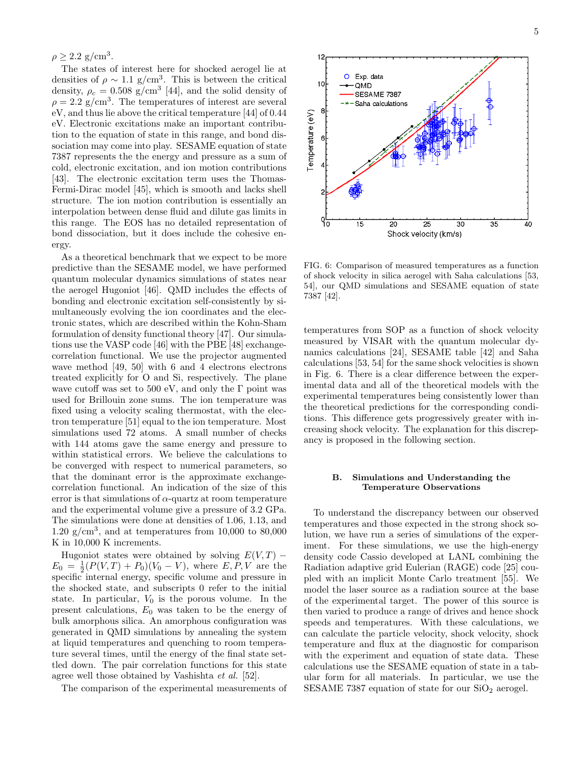$\rho \geq 2.2$  g/cm<sup>3</sup>.

The states of interest here for shocked aerogel lie at densities of  $\rho \sim 1.1$  g/cm<sup>3</sup>. This is between the critical density,  $\rho_c = 0.508$  g/cm<sup>3</sup> [44], and the solid density of  $\rho = 2.2$  g/cm<sup>3</sup>. The temperatures of interest are several eV, and thus lie above the critical temperature [44] of 0.44 eV. Electronic excitations make an important contribution to the equation of state in this range, and bond dissociation may come into play. SESAME equation of state 7387 represents the the energy and pressure as a sum of cold, electronic excitation, and ion motion contributions [43]. The electronic excitation term uses the Thomas-Fermi-Dirac model [45], which is smooth and lacks shell structure. The ion motion contribution is essentially an interpolation between dense fluid and dilute gas limits in this range. The EOS has no detailed representation of bond dissociation, but it does include the cohesive energy.

As a theoretical benchmark that we expect to be more predictive than the SESAME model, we have performed quantum molecular dynamics simulations of states near the aerogel Hugoniot [46]. QMD includes the effects of bonding and electronic excitation self-consistently by simultaneously evolving the ion coordinates and the electronic states, which are described within the Kohn-Sham formulation of density functional theory [47]. Our simulations use the VASP code [46] with the PBE [48] exchangecorrelation functional. We use the projector augmented wave method [49, 50] with 6 and 4 electrons electrons treated explicitly for O and Si, respectively. The plane wave cutoff was set to 500 eV, and only the  $\Gamma$  point was used for Brillouin zone sums. The ion temperature was fixed using a velocity scaling thermostat, with the electron temperature [51] equal to the ion temperature. Most simulations used 72 atoms. A small number of checks with 144 atoms gave the same energy and pressure to within statistical errors. We believe the calculations to be converged with respect to numerical parameters, so that the dominant error is the approximate exchangecorrelation functional. An indication of the size of this error is that simulations of  $\alpha$ -quartz at room temperature and the experimental volume give a pressure of 3.2 GPa. The simulations were done at densities of 1.06, 1.13, and  $1.20 \text{ g/cm}^3$ , and at temperatures from  $10,000$  to  $80,000$ K in 10,000 K increments.

Hugoniot states were obtained by solving  $E(V,T)$  –  $E_0 = \frac{1}{2}(P(V,T) + P_0)(V_0 - V)$ , where  $E, P, V$  are the specific internal energy, specific volume and pressure in the shocked state, and subscripts 0 refer to the initial state. In particular,  $V_0$  is the porous volume. In the present calculations,  $E_0$  was taken to be the energy of bulk amorphous silica. An amorphous configuration was generated in QMD simulations by annealing the system at liquid temperatures and quenching to room temperature several times, until the energy of the final state settled down. The pair correlation functions for this state agree well those obtained by Vashishta et al. [52].

The comparison of the experimental measurements of



FIG. 6: Comparison of measured temperatures as a function of shock velocity in silica aerogel with Saha calculations [53, 54], our QMD simulations and SESAME equation of state 7387 [42].

temperatures from SOP as a function of shock velocity measured by VISAR with the quantum molecular dynamics calculations [24], SESAME table [42] and Saha calculations [53, 54] for the same shock velocities is shown in Fig. 6. There is a clear difference between the experimental data and all of the theoretical models with the experimental temperatures being consistently lower than the theoretical predictions for the corresponding conditions. This difference gets progressively greater with increasing shock velocity. The explanation for this discrepancy is proposed in the following section.

# B. Simulations and Understanding the Temperature Observations

To understand the discrepancy between our observed temperatures and those expected in the strong shock solution, we have run a series of simulations of the experiment. For these simulations, we use the high-energy density code Cassio developed at LANL combining the Radiation adaptive grid Eulerian (RAGE) code [25] coupled with an implicit Monte Carlo treatment [55]. We model the laser source as a radiation source at the base of the experimental target. The power of this source is then varied to produce a range of drives and hence shock speeds and temperatures. With these calculations, we can calculate the particle velocity, shock velocity, shock temperature and flux at the diagnostic for comparison with the experiment and equation of state data. These calculations use the SESAME equation of state in a tabular form for all materials. In particular, we use the SESAME 7387 equation of state for our  $SiO<sub>2</sub>$  aerogel.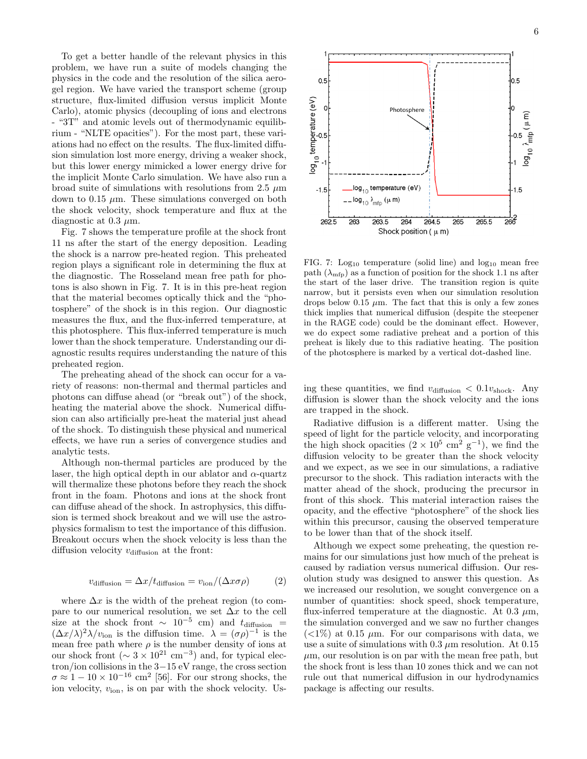To get a better handle of the relevant physics in this problem, we have run a suite of models changing the physics in the code and the resolution of the silica aerogel region. We have varied the transport scheme (group structure, flux-limited diffusion versus implicit Monte Carlo), atomic physics (decoupling of ions and electrons - "3T" and atomic levels out of thermodynamic equilibrium - "NLTE opacities"). For the most part, these variations had no effect on the results. The flux-limited diffusion simulation lost more energy, driving a weaker shock, but this lower energy mimicked a lower energy drive for the implicit Monte Carlo simulation. We have also run a broad suite of simulations with resolutions from 2.5  $\mu$ m down to 0.15  $\mu$ m. These simulations converged on both the shock velocity, shock temperature and flux at the diagnostic at 0.3  $\mu$ m.

Fig. 7 shows the temperature profile at the shock front 11 ns after the start of the energy deposition. Leading the shock is a narrow pre-heated region. This preheated region plays a significant role in determining the flux at the diagnostic. The Rosseland mean free path for photons is also shown in Fig. 7. It is in this pre-heat region that the material becomes optically thick and the "photosphere" of the shock is in this region. Our diagnostic measures the flux, and the flux-inferred temperature, at this photosphere. This flux-inferred temperature is much lower than the shock temperature. Understanding our diagnostic results requires understanding the nature of this preheated region.

The preheating ahead of the shock can occur for a variety of reasons: non-thermal and thermal particles and photons can diffuse ahead (or "break out") of the shock, heating the material above the shock. Numerical diffusion can also artificially pre-heat the material just ahead of the shock. To distinguish these physical and numerical effects, we have run a series of convergence studies and analytic tests.

Although non-thermal particles are produced by the laser, the high optical depth in our ablator and  $\alpha$ -quartz will thermalize these photons before they reach the shock front in the foam. Photons and ions at the shock front can diffuse ahead of the shock. In astrophysics, this diffusion is termed shock breakout and we will use the astrophysics formalism to test the importance of this diffusion. Breakout occurs when the shock velocity is less than the diffusion velocity  $v_{\text{diffusion}}$  at the front:

$$
v_{\text{diffusion}} = \Delta x / t_{\text{diffusion}} = v_{\text{ion}} / (\Delta x \sigma \rho) \tag{2}
$$

where  $\Delta x$  is the width of the preheat region (to compare to our numerical resolution, we set  $\Delta x$  to the cell size at the shock front  $\sim 10^{-5}$  cm) and  $t_{\text{diffusion}}$  =  $(\Delta x/\lambda)^2 \lambda/v_{\text{ion}}$  is the diffusion time.  $\lambda = (\sigma \rho)^{-1}$  is the mean free path where  $\rho$  is the number density of ions at our shock front ( $\sim 3 \times 10^{21}$  cm<sup>-3</sup>) and, for typical electron/ion collisions in the 3−15 eV range, the cross section  $\sigma \approx 1 - 10 \times 10^{-16}$  cm<sup>2</sup> [56]. For our strong shocks, the ion velocity,  $v_{\text{ion}}$ , is on par with the shock velocity. Us-



FIG. 7: Log<sub>10</sub> temperature (solid line) and  $log_{10}$  mean free path  $(\lambda_{\text{mfp}})$  as a function of position for the shock 1.1 ns after the start of the laser drive. The transition region is quite narrow, but it persists even when our simulation resolution drops below 0.15  $\mu$ m. The fact that this is only a few zones thick implies that numerical diffusion (despite the steepener in the RAGE code) could be the dominant effect. However, we do expect some radiative preheat and a portion of this preheat is likely due to this radiative heating. The position of the photosphere is marked by a vertical dot-dashed line.

ing these quantities, we find  $v_{\text{diffusion}} < 0.1 v_{\text{shock}}$ . Any diffusion is slower than the shock velocity and the ions are trapped in the shock.

Radiative diffusion is a different matter. Using the speed of light for the particle velocity, and incorporating the high shock opacities  $(2 \times 10^5 \text{ cm}^2 \text{ g}^{-1})$ , we find the diffusion velocity to be greater than the shock velocity and we expect, as we see in our simulations, a radiative precursor to the shock. This radiation interacts with the matter ahead of the shock, producing the precursor in front of this shock. This material interaction raises the opacity, and the effective "photosphere" of the shock lies within this precursor, causing the observed temperature to be lower than that of the shock itself.

Although we expect some preheating, the question remains for our simulations just how much of the preheat is caused by radiation versus numerical diffusion. Our resolution study was designed to answer this question. As we increased our resolution, we sought convergence on a number of quantities: shock speed, shock temperature, flux-inferred temperature at the diagnostic. At 0.3  $\mu$ m, the simulation converged and we saw no further changes  $\langle 1\% \rangle$  at 0.15  $\mu$ m. For our comparisons with data, we use a suite of simulations with  $0.3 \mu$ m resolution. At  $0.15$  $\mu$ m, our resolution is on par with the mean free path, but the shock front is less than 10 zones thick and we can not rule out that numerical diffusion in our hydrodynamics package is affecting our results.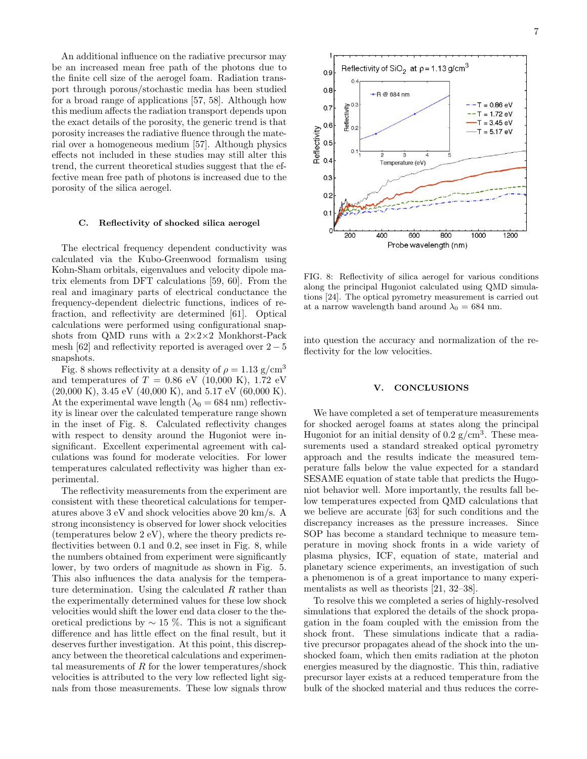An additional influence on the radiative precursor may be an increased mean free path of the photons due to the finite cell size of the aerogel foam. Radiation transport through porous/stochastic media has been studied for a broad range of applications [57, 58]. Although how this medium affects the radiation transport depends upon the exact details of the porosity, the generic trend is that porosity increases the radiative fluence through the material over a homogeneous medium [57]. Although physics effects not included in these studies may still alter this trend, the current theoretical studies suggest that the effective mean free path of photons is increased due to the porosity of the silica aerogel.

#### C. Reflectivity of shocked silica aerogel

The electrical frequency dependent conductivity was calculated via the Kubo-Greenwood formalism using Kohn-Sham orbitals, eigenvalues and velocity dipole matrix elements from DFT calculations [59, 60]. From the real and imaginary parts of electrical conductance the frequency-dependent dielectric functions, indices of refraction, and reflectivity are determined [61]. Optical calculations were performed using configurational snapshots from QMD runs with a  $2\times2\times2$  Monkhorst-Pack mesh  $[62]$  and reflectivity reported is averaged over  $2-5$ snapshots.

Fig. 8 shows reflectivity at a density of  $\rho = 1.13$  g/cm<sup>3</sup> and temperatures of  $T = 0.86$  eV (10,000 K), 1.72 eV  $(20,000 \text{ K})$ , 3.45 eV  $(40,000 \text{ K})$ , and 5.17 eV  $(60,000 \text{ K})$ . At the experimental wave length  $(\lambda_0 = 684 \text{ nm})$  reflectivity is linear over the calculated temperature range shown in the inset of Fig. 8. Calculated reflectivity changes with respect to density around the Hugoniot were insignificant. Excellent experimental agreement with calculations was found for moderate velocities. For lower temperatures calculated reflectivity was higher than experimental.

The reflectivity measurements from the experiment are consistent with these theoretical calculations for temperatures above 3 eV and shock velocities above 20 km/s. A strong inconsistency is observed for lower shock velocities (temperatures below 2 eV), where the theory predicts reflectivities between 0.1 and 0.2, see inset in Fig. 8, while the numbers obtained from experiment were significantly lower, by two orders of magnitude as shown in Fig. 5. This also influences the data analysis for the temperature determination. Using the calculated  $R$  rather than the experimentally determined values for these low shock velocities would shift the lower end data closer to the theoretical predictions by  $\sim$  15 %. This is not a significant difference and has little effect on the final result, but it deserves further investigation. At this point, this discrepancy between the theoretical calculations and experimental measurements of  $R$  for the lower temperatures/shock velocities is attributed to the very low reflected light signals from those measurements. These low signals throw



FIG. 8: Reflectivity of silica aerogel for various conditions along the principal Hugoniot calculated using QMD simulations [24]. The optical pyrometry measurement is carried out at a narrow wavelength band around  $\lambda_0 = 684$  nm.

into question the accuracy and normalization of the reflectivity for the low velocities.

# V. CONCLUSIONS

We have completed a set of temperature measurements for shocked aerogel foams at states along the principal Hugoniot for an initial density of  $0.2$  g/cm<sup>3</sup>. These measurements used a standard streaked optical pyrometry approach and the results indicate the measured temperature falls below the value expected for a standard SESAME equation of state table that predicts the Hugoniot behavior well. More importantly, the results fall below temperatures expected from QMD calculations that we believe are accurate [63] for such conditions and the discrepancy increases as the pressure increases. Since SOP has become a standard technique to measure temperature in moving shock fronts in a wide variety of plasma physics, ICF, equation of state, material and planetary science experiments, an investigation of such a phenomenon is of a great importance to many experimentalists as well as theorists [21, 32–38].

To resolve this we completed a series of highly-resolved simulations that explored the details of the shock propagation in the foam coupled with the emission from the shock front. These simulations indicate that a radiative precursor propagates ahead of the shock into the unshocked foam, which then emits radiation at the photon energies measured by the diagnostic. This thin, radiative precursor layer exists at a reduced temperature from the bulk of the shocked material and thus reduces the corre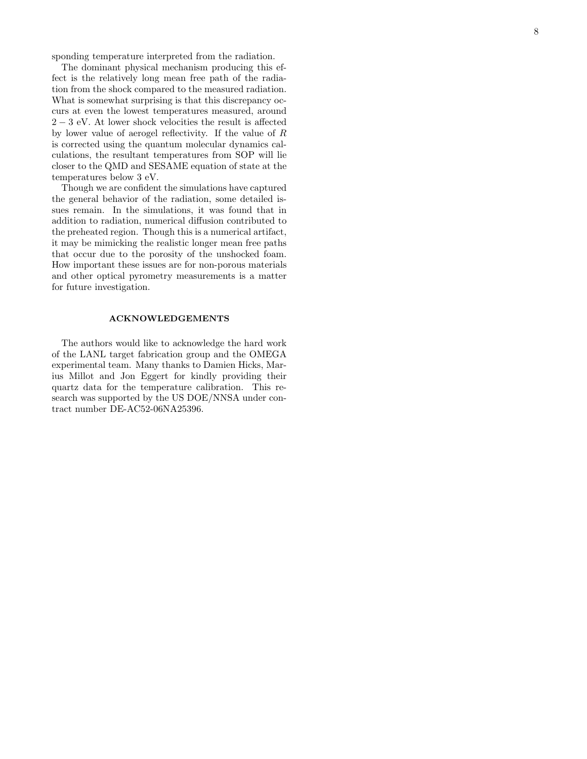sponding temperature interpreted from the radiation.

The dominant physical mechanism producing this effect is the relatively long mean free path of the radiation from the shock compared to the measured radiation. What is somewhat surprising is that this discrepancy occurs at even the lowest temperatures measured, around 2 − 3 eV. At lower shock velocities the result is affected by lower value of aerogel reflectivity. If the value of R is corrected using the quantum molecular dynamics calculations, the resultant temperatures from SOP will lie closer to the QMD and SESAME equation of state at the temperatures below 3 eV.

Though we are confident the simulations have captured the general behavior of the radiation, some detailed issues remain. In the simulations, it was found that in addition to radiation, numerical diffusion contributed to the preheated region. Though this is a numerical artifact, it may be mimicking the realistic longer mean free paths that occur due to the porosity of the unshocked foam. How important these issues are for non-porous materials and other optical pyrometry measurements is a matter for future investigation.

# ACKNOWLEDGEMENTS

The authors would like to acknowledge the hard work of the LANL target fabrication group and the OMEGA experimental team. Many thanks to Damien Hicks, Marius Millot and Jon Eggert for kindly providing their quartz data for the temperature calibration. This research was supported by the US DOE/NNSA under contract number DE-AC52-06NA25396.